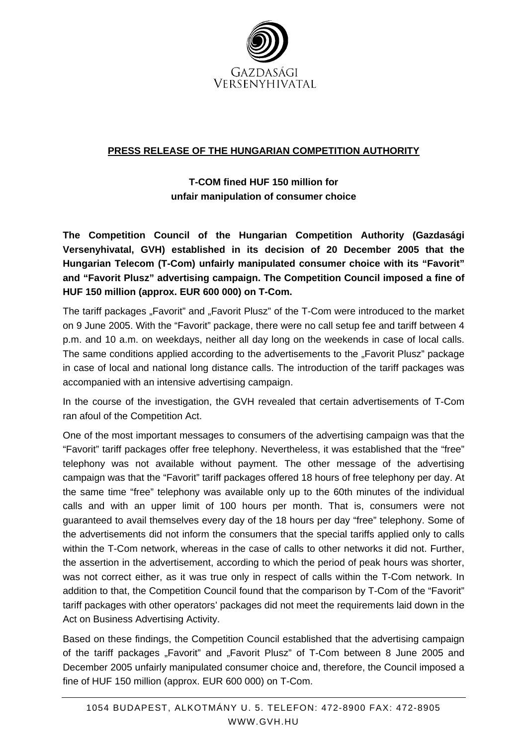

## **PRESS RELEASE OF THE HUNGARIAN COMPETITION AUTHORITY**

**T-COM fined HUF 150 million for unfair manipulation of consumer choice** 

**The Competition Council of the Hungarian Competition Authority (Gazdasági Versenyhivatal, GVH) established in its decision of 20 December 2005 that the Hungarian Telecom (T-Com) unfairly manipulated consumer choice with its "Favorit" and "Favorit Plusz" advertising campaign. The Competition Council imposed a fine of HUF 150 million (approx. EUR 600 000) on T-Com.** 

The tariff packages "Favorit" and "Favorit Plusz" of the T-Com were introduced to the market on 9 June 2005. With the "Favorit" package, there were no call setup fee and tariff between 4 p.m. and 10 a.m. on weekdays, neither all day long on the weekends in case of local calls. The same conditions applied according to the advertisements to the "Favorit Plusz" package in case of local and national long distance calls. The introduction of the tariff packages was accompanied with an intensive advertising campaign.

In the course of the investigation, the GVH revealed that certain advertisements of T-Com ran afoul of the Competition Act.

One of the most important messages to consumers of the advertising campaign was that the "Favorit" tariff packages offer free telephony. Nevertheless, it was established that the "free" telephony was not available without payment. The other message of the advertising campaign was that the "Favorit" tariff packages offered 18 hours of free telephony per day. At the same time "free" telephony was available only up to the 60th minutes of the individual calls and with an upper limit of 100 hours per month. That is, consumers were not guaranteed to avail themselves every day of the 18 hours per day "free" telephony. Some of the advertisements did not inform the consumers that the special tariffs applied only to calls within the T-Com network, whereas in the case of calls to other networks it did not. Further, the assertion in the advertisement, according to which the period of peak hours was shorter, was not correct either, as it was true only in respect of calls within the T-Com network. In addition to that, the Competition Council found that the comparison by T-Com of the "Favorit" tariff packages with other operators' packages did not meet the requirements laid down in the Act on Business Advertising Activity.

Based on these findings, the Competition Council established that the advertising campaign of the tariff packages "Favorit" and "Favorit Plusz" of T-Com between 8 June 2005 and December 2005 unfairly manipulated consumer choice and, therefore, the Council imposed a fine of HUF 150 million (approx. EUR 600 000) on T-Com.